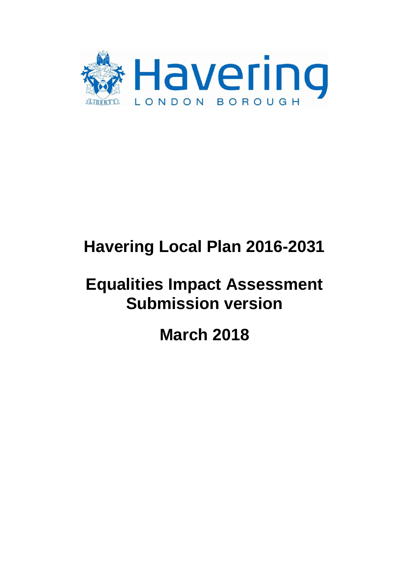

# **Havering Local Plan 2016-2031**

# **Equalities Impact Assessment Submission version**

**March 2018**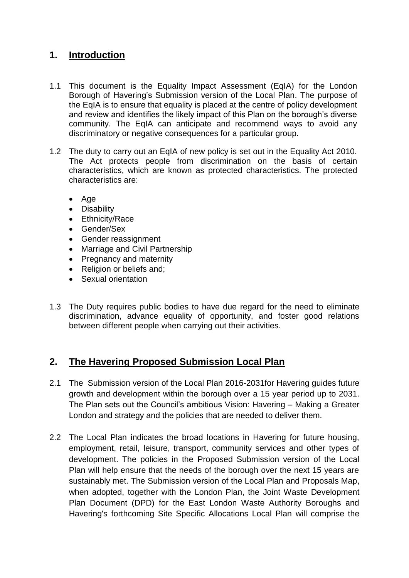# **1. Introduction**

- 1.1 This document is the Equality Impact Assessment (EqIA) for the London Borough of Havering's Submission version of the Local Plan. The purpose of the EqIA is to ensure that equality is placed at the centre of policy development and review and identifies the likely impact of this Plan on the borough's diverse community. The EqIA can anticipate and recommend ways to avoid any discriminatory or negative consequences for a particular group.
- 1.2 The duty to carry out an EqIA of new policy is set out in the Equality Act 2010. The Act protects people from discrimination on the basis of certain characteristics, which are known as protected characteristics. The protected characteristics are:
	- Age
	- Disability
	- Ethnicity/Race
	- Gender/Sex
	- Gender reassignment
	- Marriage and Civil Partnership
	- Pregnancy and maternity
	- Religion or beliefs and;
	- Sexual orientation
- 1.3 The Duty requires public bodies to have due regard for the need to eliminate discrimination, advance equality of opportunity, and foster good relations between different people when carrying out their activities.

# **2. The Havering Proposed Submission Local Plan**

- 2.1 The Submission version of the Local Plan 2016-2031for Havering guides future growth and development within the borough over a 15 year period up to 2031. The Plan sets out the Council's ambitious Vision: Havering – Making a Greater London and strategy and the policies that are needed to deliver them.
- 2.2 The Local Plan indicates the broad locations in Havering for future housing, employment, retail, leisure, transport, community services and other types of development. The policies in the Proposed Submission version of the Local Plan will help ensure that the needs of the borough over the next 15 years are sustainably met. The Submission version of the Local Plan and Proposals Map, when adopted, together with the London Plan, the Joint Waste Development Plan Document (DPD) for the East London Waste Authority Boroughs and Havering's forthcoming Site Specific Allocations Local Plan will comprise the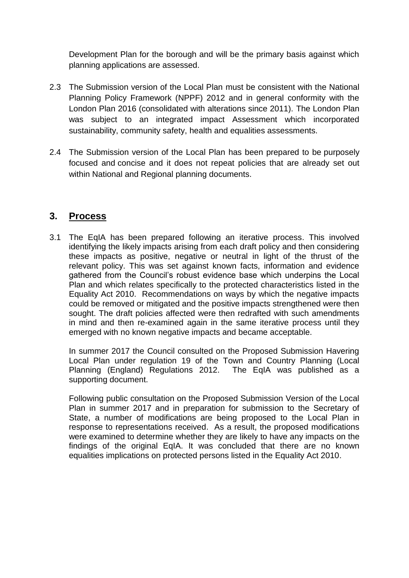Development Plan for the borough and will be the primary basis against which planning applications are assessed.

- 2.3 The Submission version of the Local Plan must be consistent with the National Planning Policy Framework (NPPF) 2012 and in general conformity with the London Plan 2016 (consolidated with alterations since 2011). The London Plan was subject to an integrated impact Assessment which incorporated sustainability, community safety, health and equalities assessments.
- 2.4 The Submission version of the Local Plan has been prepared to be purposely focused and concise and it does not repeat policies that are already set out within National and Regional planning documents.

# **3. Process**

3.1 The EqIA has been prepared following an iterative process. This involved identifying the likely impacts arising from each draft policy and then considering these impacts as positive, negative or neutral in light of the thrust of the relevant policy. This was set against known facts, information and evidence gathered from the Council's robust evidence base which underpins the Local Plan and which relates specifically to the protected characteristics listed in the Equality Act 2010. Recommendations on ways by which the negative impacts could be removed or mitigated and the positive impacts strengthened were then sought. The draft policies affected were then redrafted with such amendments in mind and then re-examined again in the same iterative process until they emerged with no known negative impacts and became acceptable.

In summer 2017 the Council consulted on the Proposed Submission Havering Local Plan under regulation 19 of the Town and Country Planning (Local Planning (England) Regulations 2012. The EqIA was published as a supporting document.

Following public consultation on the Proposed Submission Version of the Local Plan in summer 2017 and in preparation for submission to the Secretary of State, a number of modifications are being proposed to the Local Plan in response to representations received. As a result, the proposed modifications were examined to determine whether they are likely to have any impacts on the findings of the original EqIA. It was concluded that there are no known equalities implications on protected persons listed in the Equality Act 2010.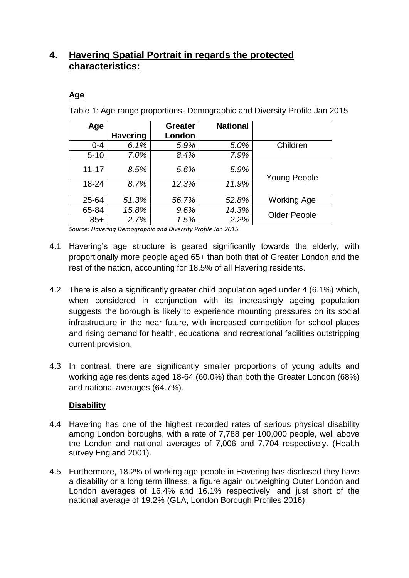# **4. Havering Spatial Portrait in regards the protected characteristics:**

# **Age**

Table 1: Age range proportions- Demographic and Diversity Profile Jan 2015

| Age       |                 | <b>Greater</b> | <b>National</b> |                     |
|-----------|-----------------|----------------|-----------------|---------------------|
|           | <b>Havering</b> | London         |                 |                     |
| $0 - 4$   | 6.1%            | 5.9%           | 5.0%            | Children            |
| $5 - 10$  | 7.0%            | 8.4%           | 7.9%            |                     |
| $11 - 17$ | 8.5%            | 5.6%           | 5.9%            | <b>Young People</b> |
| 18-24     | 8.7%            | 12.3%          | 11.9%           |                     |
| 25-64     | 51.3%           | 56.7%          | 52.8%           | <b>Working Age</b>  |
| 65-84     | 15.8%           | 9.6%           | 14.3%           |                     |
| $85+$     | 2.7%            | 1.5%           | 2.2%            | <b>Older People</b> |

*Source: Havering Demographic and Diversity Profile Jan 2015*

- 4.1 Havering's age structure is geared significantly towards the elderly, with proportionally more people aged 65+ than both that of Greater London and the rest of the nation, accounting for 18.5% of all Havering residents.
- 4.2 There is also a significantly greater child population aged under 4 (6.1%) which, when considered in conjunction with its increasingly ageing population suggests the borough is likely to experience mounting pressures on its social infrastructure in the near future, with increased competition for school places and rising demand for health, educational and recreational facilities outstripping current provision.
- 4.3 In contrast, there are significantly smaller proportions of young adults and working age residents aged 18-64 (60.0%) than both the Greater London (68%) and national averages (64.7%).

# **Disability**

- 4.4 Havering has one of the highest recorded rates of serious physical disability among London boroughs, with a rate of 7,788 per 100,000 people, well above the London and national averages of 7,006 and 7,704 respectively. (Health survey England 2001).
- 4.5 Furthermore, 18.2% of working age people in Havering has disclosed they have a disability or a long term illness, a figure again outweighing Outer London and London averages of 16.4% and 16.1% respectively, and just short of the national average of 19.2% (GLA, London Borough Profiles 2016).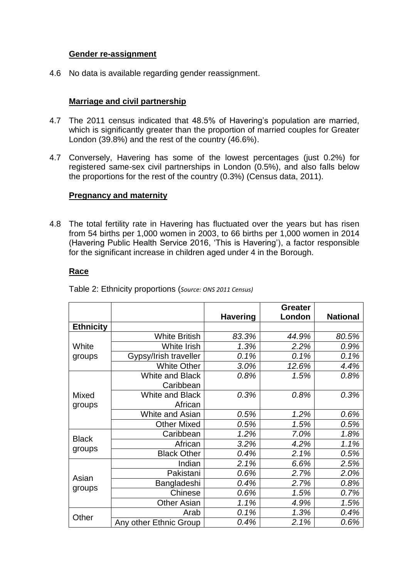## **Gender re-assignment**

4.6 No data is available regarding gender reassignment.

### **Marriage and civil partnership**

- 4.7 The 2011 census indicated that 48.5% of Havering's population are married, which is significantly greater than the proportion of married couples for Greater London (39.8%) and the rest of the country (46.6%).
- 4.7 Conversely, Havering has some of the lowest percentages (just 0.2%) for registered same-sex civil partnerships in London (0.5%), and also falls below the proportions for the rest of the country (0.3%) (Census data, 2011).

#### **Pregnancy and maternity**

4.8 The total fertility rate in Havering has fluctuated over the years but has risen from 54 births per 1,000 women in 2003, to 66 births per 1,000 women in 2014 (Havering Public Health Service 2016, 'This is Havering'), a factor responsible for the significant increase in children aged under 4 in the Borough.

#### **Race**

|                  |                        |                 | <b>Greater</b> |                 |
|------------------|------------------------|-----------------|----------------|-----------------|
|                  |                        | <b>Havering</b> | London         | <b>National</b> |
| <b>Ethnicity</b> |                        |                 |                |                 |
|                  | <b>White British</b>   | 83.3%           | 44.9%          | 80.5%           |
| White            | White Irish            | 1.3%            | 2.2%           | 0.9%            |
| groups           | Gypsy/Irish traveller  | 0.1%            | 0.1%           | 0.1%            |
|                  | <b>White Other</b>     | 3.0%            | 12.6%          | 4.4%            |
|                  | White and Black        | 0.8%            | 1.5%           | 0.8%            |
|                  | Caribbean              |                 |                |                 |
| Mixed<br>groups  | <b>White and Black</b> | 0.3%            | 0.8%           | 0.3%            |
|                  | African                |                 |                |                 |
|                  | White and Asian        | 0.5%            | 1.2%           | 0.6%            |
|                  | <b>Other Mixed</b>     | 0.5%            | 1.5%           | 0.5%            |
| <b>Black</b>     | Caribbean              | 1.2%            | 7.0%           | 1.8%            |
|                  | African                | 3.2%            | 4.2%           | 1.1%            |
| groups           | <b>Black Other</b>     | 0.4%            | 2.1%           | 0.5%            |
|                  | Indian                 | 2.1%            | 6.6%           | 2.5%            |
| Asian            | Pakistani              | 0.6%            | 2.7%           | 2.0%            |
|                  | Bangladeshi            | 0.4%            | 2.7%           | 0.8%            |
| groups           | Chinese                | 0.6%            | 1.5%           | 0.7%            |
|                  | <b>Other Asian</b>     | 1.1%            | 4.9%           | 1.5%            |
|                  | Arab                   | 0.1%            | 1.3%           | 0.4%            |
| Other            | Any other Ethnic Group | 0.4%            | 2.1%           | 0.6%            |

Table 2: Ethnicity proportions (*Source: ONS 2011 Census)*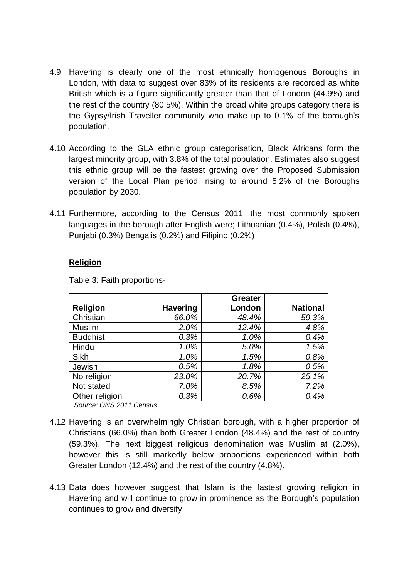- 4.9 Havering is clearly one of the most ethnically homogenous Boroughs in London, with data to suggest over 83% of its residents are recorded as white British which is a figure significantly greater than that of London (44.9%) and the rest of the country (80.5%). Within the broad white groups category there is the Gypsy/Irish Traveller community who make up to 0.1% of the borough's population.
- 4.10 According to the GLA ethnic group categorisation, Black Africans form the largest minority group, with 3.8% of the total population. Estimates also suggest this ethnic group will be the fastest growing over the Proposed Submission version of the Local Plan period, rising to around 5.2% of the Boroughs population by 2030.
- 4.11 Furthermore, according to the Census 2011, the most commonly spoken languages in the borough after English were; Lithuanian (0.4%), Polish (0.4%), Punjabi (0.3%) Bengalis (0.2%) and Filipino (0.2%)

## **Religion**

|                 |                 | <b>Greater</b> |                 |
|-----------------|-----------------|----------------|-----------------|
| <b>Religion</b> | <b>Havering</b> | London         | <b>National</b> |
| Christian       | 66.0%           | 48.4%          | 59.3%           |
| <b>Muslim</b>   | 2.0%            | 12.4%          | 4.8%            |
| <b>Buddhist</b> | 0.3%            | 1.0%           | 0.4%            |
| Hindu           | 1.0%            | 5.0%           | 1.5%            |
| Sikh            | 1.0%            | 1.5%           | 0.8%            |
| Jewish          | 0.5%            | 1.8%           | 0.5%            |
| No religion     | 23.0%           | 20.7%          | 25.1%           |
| Not stated      | 7.0%            | 8.5%           | 7.2%            |
| Other religion  | 0.3%            | 0.6%           | 0.4%            |

Table 3: Faith proportions-

*Source: ONS 2011 Census*

- 4.12 Havering is an overwhelmingly Christian borough, with a higher proportion of Christians (66.0%) than both Greater London (48.4%) and the rest of country (59.3%). The next biggest religious denomination was Muslim at (2.0%), however this is still markedly below proportions experienced within both Greater London (12.4%) and the rest of the country (4.8%).
- 4.13 Data does however suggest that Islam is the fastest growing religion in Havering and will continue to grow in prominence as the Borough's population continues to grow and diversify.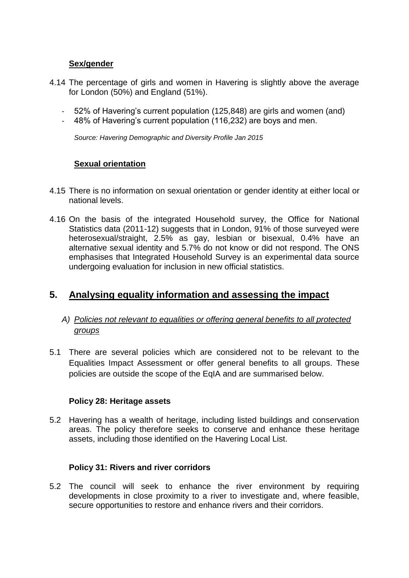### **Sex/gender**

- 4.14 The percentage of girls and women in Havering is slightly above the average for London (50%) and England (51%).
	- 52% of Havering's current population (125,848) are girls and women (and)
	- 48% of Havering's current population (116,232) are boys and men.

*Source: Havering Demographic and Diversity Profile Jan 2015*

# **Sexual orientation**

- 4.15 There is no information on sexual orientation or gender identity at either local or national levels.
- 4.16 On the basis of the integrated Household survey, the Office for National Statistics data (2011-12) suggests that in London, 91% of those surveyed were heterosexual/straight, 2.5% as gay, lesbian or bisexual, 0.4% have an alternative sexual identity and 5.7% do not know or did not respond. The ONS emphasises that Integrated Household Survey is an experimental data source undergoing evaluation for inclusion in new official statistics.

# **5. Analysing equality information and assessing the impact**

# *A) Policies not relevant to equalities or offering general benefits to all protected groups*

5.1 There are several policies which are considered not to be relevant to the Equalities Impact Assessment or offer general benefits to all groups. These policies are outside the scope of the EqIA and are summarised below.

#### **Policy 28: Heritage assets**

5.2 Havering has a wealth of heritage, including listed buildings and conservation areas. The policy therefore seeks to conserve and enhance these heritage assets, including those identified on the Havering Local List.

#### **Policy 31: Rivers and river corridors**

5.2 The council will seek to enhance the river environment by requiring developments in close proximity to a river to investigate and, where feasible, secure opportunities to restore and enhance rivers and their corridors.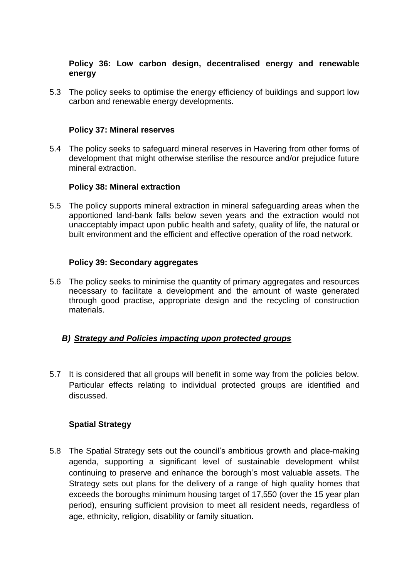## **Policy 36: Low carbon design, decentralised energy and renewable energy**

5.3 The policy seeks to optimise the energy efficiency of buildings and support low carbon and renewable energy developments.

#### **Policy 37: Mineral reserves**

5.4 The policy seeks to safeguard mineral reserves in Havering from other forms of development that might otherwise sterilise the resource and/or prejudice future mineral extraction.

#### **Policy 38: Mineral extraction**

5.5 The policy supports mineral extraction in mineral safeguarding areas when the apportioned land-bank falls below seven years and the extraction would not unacceptably impact upon public health and safety, quality of life, the natural or built environment and the efficient and effective operation of the road network.

#### **Policy 39: Secondary aggregates**

5.6 The policy seeks to minimise the quantity of primary aggregates and resources necessary to facilitate a development and the amount of waste generated through good practise, appropriate design and the recycling of construction materials.

### *B) Strategy and Policies impacting upon protected groups*

5.7 It is considered that all groups will benefit in some way from the policies below. Particular effects relating to individual protected groups are identified and discussed.

#### **Spatial Strategy**

5.8 The Spatial Strategy sets out the council's ambitious growth and place-making agenda, supporting a significant level of sustainable development whilst continuing to preserve and enhance the borough's most valuable assets. The Strategy sets out plans for the delivery of a range of high quality homes that exceeds the boroughs minimum housing target of 17,550 (over the 15 year plan period), ensuring sufficient provision to meet all resident needs, regardless of age, ethnicity, religion, disability or family situation.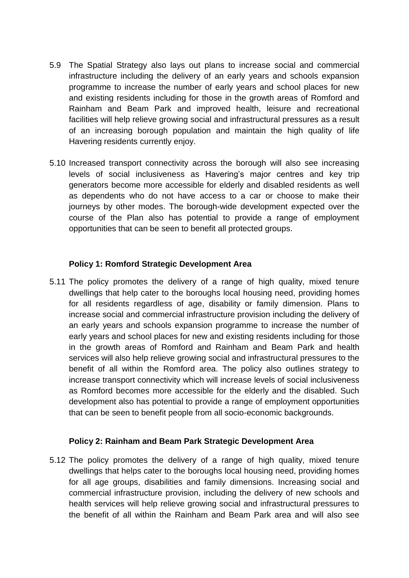- 5.9 The Spatial Strategy also lays out plans to increase social and commercial infrastructure including the delivery of an early years and schools expansion programme to increase the number of early years and school places for new and existing residents including for those in the growth areas of Romford and Rainham and Beam Park and improved health, leisure and recreational facilities will help relieve growing social and infrastructural pressures as a result of an increasing borough population and maintain the high quality of life Havering residents currently enjoy.
- 5.10 Increased transport connectivity across the borough will also see increasing levels of social inclusiveness as Havering's major centres and key trip generators become more accessible for elderly and disabled residents as well as dependents who do not have access to a car or choose to make their journeys by other modes. The borough-wide development expected over the course of the Plan also has potential to provide a range of employment opportunities that can be seen to benefit all protected groups.

## **Policy 1: Romford Strategic Development Area**

5.11 The policy promotes the delivery of a range of high quality, mixed tenure dwellings that help cater to the boroughs local housing need, providing homes for all residents regardless of age, disability or family dimension. Plans to increase social and commercial infrastructure provision including the delivery of an early years and schools expansion programme to increase the number of early years and school places for new and existing residents including for those in the growth areas of Romford and Rainham and Beam Park and health services will also help relieve growing social and infrastructural pressures to the benefit of all within the Romford area. The policy also outlines strategy to increase transport connectivity which will increase levels of social inclusiveness as Romford becomes more accessible for the elderly and the disabled. Such development also has potential to provide a range of employment opportunities that can be seen to benefit people from all socio-economic backgrounds.

#### **Policy 2: Rainham and Beam Park Strategic Development Area**

5.12 The policy promotes the delivery of a range of high quality, mixed tenure dwellings that helps cater to the boroughs local housing need, providing homes for all age groups, disabilities and family dimensions. Increasing social and commercial infrastructure provision, including the delivery of new schools and health services will help relieve growing social and infrastructural pressures to the benefit of all within the Rainham and Beam Park area and will also see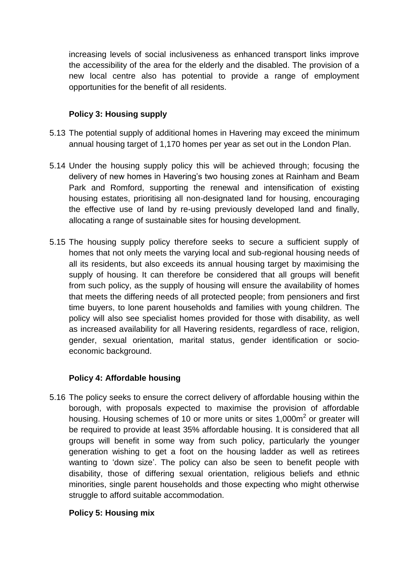increasing levels of social inclusiveness as enhanced transport links improve the accessibility of the area for the elderly and the disabled. The provision of a new local centre also has potential to provide a range of employment opportunities for the benefit of all residents.

# **Policy 3: Housing supply**

- 5.13 The potential supply of additional homes in Havering may exceed the minimum annual housing target of 1,170 homes per year as set out in the London Plan.
- 5.14 Under the housing supply policy this will be achieved through; focusing the delivery of new homes in Havering's two housing zones at Rainham and Beam Park and Romford, supporting the renewal and intensification of existing housing estates, prioritising all non-designated land for housing, encouraging the effective use of land by re-using previously developed land and finally, allocating a range of sustainable sites for housing development.
- 5.15 The housing supply policy therefore seeks to secure a sufficient supply of homes that not only meets the varying local and sub-regional housing needs of all its residents, but also exceeds its annual housing target by maximising the supply of housing. It can therefore be considered that all groups will benefit from such policy, as the supply of housing will ensure the availability of homes that meets the differing needs of all protected people; from pensioners and first time buyers, to lone parent households and families with young children. The policy will also see specialist homes provided for those with disability, as well as increased availability for all Havering residents, regardless of race, religion, gender, sexual orientation, marital status, gender identification or socioeconomic background.

# **Policy 4: Affordable housing**

5.16 The policy seeks to ensure the correct delivery of affordable housing within the borough, with proposals expected to maximise the provision of affordable housing. Housing schemes of 10 or more units or sites 1,000 $m<sup>2</sup>$  or greater will be required to provide at least 35% affordable housing. It is considered that all groups will benefit in some way from such policy, particularly the younger generation wishing to get a foot on the housing ladder as well as retirees wanting to 'down size'. The policy can also be seen to benefit people with disability, those of differing sexual orientation, religious beliefs and ethnic minorities, single parent households and those expecting who might otherwise struggle to afford suitable accommodation.

# **Policy 5: Housing mix**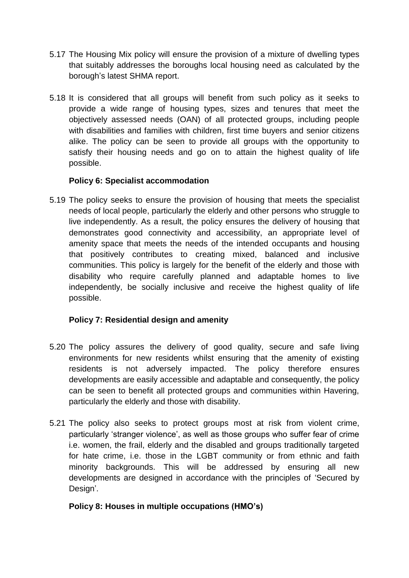- 5.17 The Housing Mix policy will ensure the provision of a mixture of dwelling types that suitably addresses the boroughs local housing need as calculated by the borough's latest SHMA report.
- 5.18 It is considered that all groups will benefit from such policy as it seeks to provide a wide range of housing types, sizes and tenures that meet the objectively assessed needs (OAN) of all protected groups, including people with disabilities and families with children, first time buyers and senior citizens alike. The policy can be seen to provide all groups with the opportunity to satisfy their housing needs and go on to attain the highest quality of life possible.

# **Policy 6: Specialist accommodation**

5.19 The policy seeks to ensure the provision of housing that meets the specialist needs of local people, particularly the elderly and other persons who struggle to live independently. As a result, the policy ensures the delivery of housing that demonstrates good connectivity and accessibility, an appropriate level of amenity space that meets the needs of the intended occupants and housing that positively contributes to creating mixed, balanced and inclusive communities. This policy is largely for the benefit of the elderly and those with disability who require carefully planned and adaptable homes to live independently, be socially inclusive and receive the highest quality of life possible.

# **Policy 7: Residential design and amenity**

- 5.20 The policy assures the delivery of good quality, secure and safe living environments for new residents whilst ensuring that the amenity of existing residents is not adversely impacted. The policy therefore ensures developments are easily accessible and adaptable and consequently, the policy can be seen to benefit all protected groups and communities within Havering, particularly the elderly and those with disability.
- 5.21 The policy also seeks to protect groups most at risk from violent crime, particularly 'stranger violence', as well as those groups who suffer fear of crime i.e. women, the frail, elderly and the disabled and groups traditionally targeted for hate crime, i.e. those in the LGBT community or from ethnic and faith minority backgrounds. This will be addressed by ensuring all new developments are designed in accordance with the principles of 'Secured by Design'.

# **Policy 8: Houses in multiple occupations (HMO's)**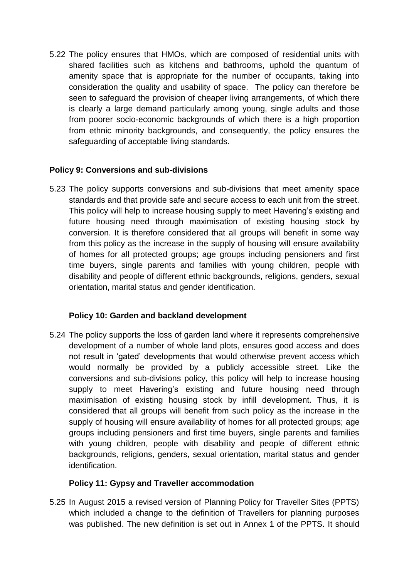5.22 The policy ensures that HMOs, which are composed of residential units with shared facilities such as kitchens and bathrooms, uphold the quantum of amenity space that is appropriate for the number of occupants, taking into consideration the quality and usability of space. The policy can therefore be seen to safeguard the provision of cheaper living arrangements, of which there is clearly a large demand particularly among young, single adults and those from poorer socio-economic backgrounds of which there is a high proportion from ethnic minority backgrounds, and consequently, the policy ensures the safeguarding of acceptable living standards.

# **Policy 9: Conversions and sub-divisions**

5.23 The policy supports conversions and sub-divisions that meet amenity space standards and that provide safe and secure access to each unit from the street. This policy will help to increase housing supply to meet Havering's existing and future housing need through maximisation of existing housing stock by conversion. It is therefore considered that all groups will benefit in some way from this policy as the increase in the supply of housing will ensure availability of homes for all protected groups; age groups including pensioners and first time buyers, single parents and families with young children, people with disability and people of different ethnic backgrounds, religions, genders, sexual orientation, marital status and gender identification.

# **Policy 10: Garden and backland development**

5.24 The policy supports the loss of garden land where it represents comprehensive development of a number of whole land plots, ensures good access and does not result in 'gated' developments that would otherwise prevent access which would normally be provided by a publicly accessible street. Like the conversions and sub-divisions policy, this policy will help to increase housing supply to meet Havering's existing and future housing need through maximisation of existing housing stock by infill development. Thus, it is considered that all groups will benefit from such policy as the increase in the supply of housing will ensure availability of homes for all protected groups; age groups including pensioners and first time buyers, single parents and families with young children, people with disability and people of different ethnic backgrounds, religions, genders, sexual orientation, marital status and gender identification.

# **Policy 11: Gypsy and Traveller accommodation**

5.25 In August 2015 a revised version of Planning Policy for Traveller Sites (PPTS) which included a change to the definition of Travellers for planning purposes was published. The new definition is set out in Annex 1 of the PPTS. It should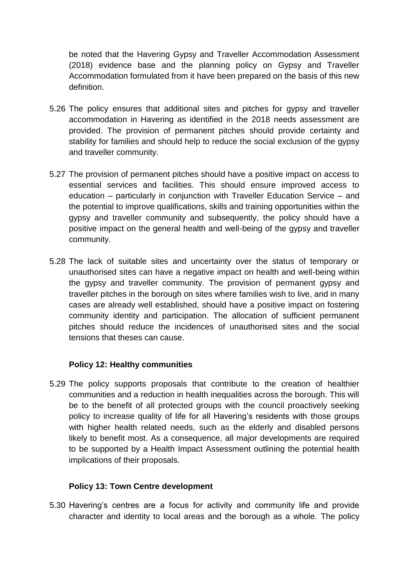be noted that the Havering Gypsy and Traveller Accommodation Assessment (2018) evidence base and the planning policy on Gypsy and Traveller Accommodation formulated from it have been prepared on the basis of this new definition.

- 5.26 The policy ensures that additional sites and pitches for gypsy and traveller accommodation in Havering as identified in the 2018 needs assessment are provided. The provision of permanent pitches should provide certainty and stability for families and should help to reduce the social exclusion of the gypsy and traveller community.
- 5.27 The provision of permanent pitches should have a positive impact on access to essential services and facilities. This should ensure improved access to education – particularly in conjunction with Traveller Education Service – and the potential to improve qualifications, skills and training opportunities within the gypsy and traveller community and subsequently, the policy should have a positive impact on the general health and well-being of the gypsy and traveller community.
- 5.28 The lack of suitable sites and uncertainty over the status of temporary or unauthorised sites can have a negative impact on health and well-being within the gypsy and traveller community. The provision of permanent gypsy and traveller pitches in the borough on sites where families wish to live, and in many cases are already well established, should have a positive impact on fostering community identity and participation. The allocation of sufficient permanent pitches should reduce the incidences of unauthorised sites and the social tensions that theses can cause.

# **Policy 12: Healthy communities**

5.29 The policy supports proposals that contribute to the creation of healthier communities and a reduction in health inequalities across the borough. This will be to the benefit of all protected groups with the council proactively seeking policy to increase quality of life for all Havering's residents with those groups with higher health related needs, such as the elderly and disabled persons likely to benefit most. As a consequence, all major developments are required to be supported by a Health Impact Assessment outlining the potential health implications of their proposals.

# **Policy 13: Town Centre development**

5.30 Havering's centres are a focus for activity and community life and provide character and identity to local areas and the borough as a whole. The policy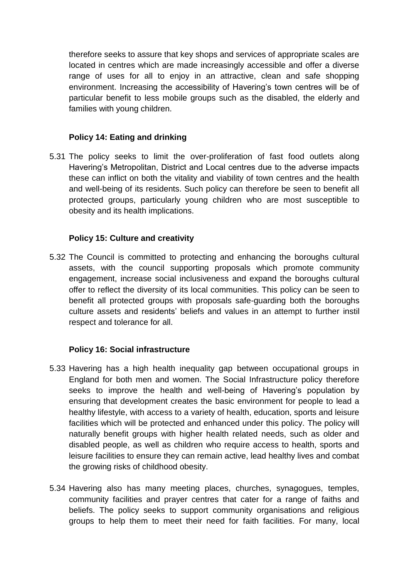therefore seeks to assure that key shops and services of appropriate scales are located in centres which are made increasingly accessible and offer a diverse range of uses for all to enjoy in an attractive, clean and safe shopping environment. Increasing the accessibility of Havering's town centres will be of particular benefit to less mobile groups such as the disabled, the elderly and families with young children.

# **Policy 14: Eating and drinking**

5.31 The policy seeks to limit the over-proliferation of fast food outlets along Havering's Metropolitan, District and Local centres due to the adverse impacts these can inflict on both the vitality and viability of town centres and the health and well-being of its residents. Such policy can therefore be seen to benefit all protected groups, particularly young children who are most susceptible to obesity and its health implications.

# **Policy 15: Culture and creativity**

5.32 The Council is committed to protecting and enhancing the boroughs cultural assets, with the council supporting proposals which promote community engagement, increase social inclusiveness and expand the boroughs cultural offer to reflect the diversity of its local communities. This policy can be seen to benefit all protected groups with proposals safe-guarding both the boroughs culture assets and residents' beliefs and values in an attempt to further instil respect and tolerance for all.

# **Policy 16: Social infrastructure**

- 5.33 Havering has a high health inequality gap between occupational groups in England for both men and women. The Social Infrastructure policy therefore seeks to improve the health and well-being of Havering's population by ensuring that development creates the basic environment for people to lead a healthy lifestyle, with access to a variety of health, education, sports and leisure facilities which will be protected and enhanced under this policy. The policy will naturally benefit groups with higher health related needs, such as older and disabled people, as well as children who require access to health, sports and leisure facilities to ensure they can remain active, lead healthy lives and combat the growing risks of childhood obesity.
- 5.34 Havering also has many meeting places, churches, synagogues, temples, community facilities and prayer centres that cater for a range of faiths and beliefs. The policy seeks to support community organisations and religious groups to help them to meet their need for faith facilities. For many, local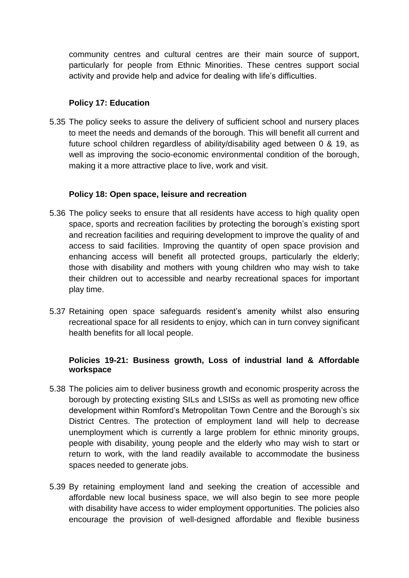community centres and cultural centres are their main source of support, particularly for people from Ethnic Minorities. These centres support social activity and provide help and advice for dealing with life's difficulties.

## **Policy 17: Education**

5.35 The policy seeks to assure the delivery of sufficient school and nursery places to meet the needs and demands of the borough. This will benefit all current and future school children regardless of ability/disability aged between 0 & 19, as well as improving the socio-economic environmental condition of the borough, making it a more attractive place to live, work and visit.

#### **Policy 18: Open space, leisure and recreation**

- 5.36 The policy seeks to ensure that all residents have access to high quality open space, sports and recreation facilities by protecting the borough's existing sport and recreation facilities and requiring development to improve the quality of and access to said facilities. Improving the quantity of open space provision and enhancing access will benefit all protected groups, particularly the elderly; those with disability and mothers with young children who may wish to take their children out to accessible and nearby recreational spaces for important play time.
- 5.37 Retaining open space safeguards resident's amenity whilst also ensuring recreational space for all residents to enjoy, which can in turn convey significant health benefits for all local people.

# **Policies 19-21: Business growth, Loss of industrial land & Affordable workspace**

- 5.38 The policies aim to deliver business growth and economic prosperity across the borough by protecting existing SILs and LSISs as well as promoting new office development within Romford's Metropolitan Town Centre and the Borough's six District Centres. The protection of employment land will help to decrease unemployment which is currently a large problem for ethnic minority groups, people with disability, young people and the elderly who may wish to start or return to work, with the land readily available to accommodate the business spaces needed to generate jobs.
- 5.39 By retaining employment land and seeking the creation of accessible and affordable new local business space, we will also begin to see more people with disability have access to wider employment opportunities. The policies also encourage the provision of well-designed affordable and flexible business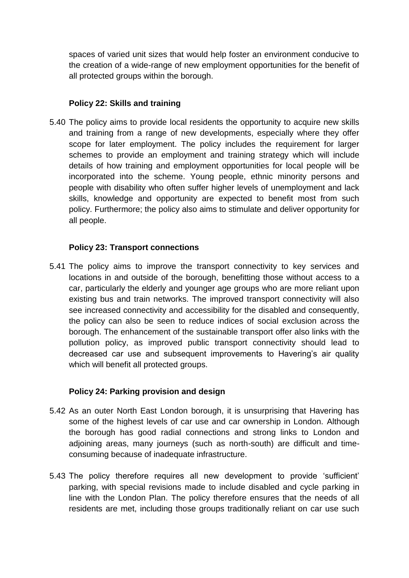spaces of varied unit sizes that would help foster an environment conducive to the creation of a wide-range of new employment opportunities for the benefit of all protected groups within the borough.

# **Policy 22: Skills and training**

5.40 The policy aims to provide local residents the opportunity to acquire new skills and training from a range of new developments, especially where they offer scope for later employment. The policy includes the requirement for larger schemes to provide an employment and training strategy which will include details of how training and employment opportunities for local people will be incorporated into the scheme. Young people, ethnic minority persons and people with disability who often suffer higher levels of unemployment and lack skills, knowledge and opportunity are expected to benefit most from such policy. Furthermore; the policy also aims to stimulate and deliver opportunity for all people.

# **Policy 23: Transport connections**

5.41 The policy aims to improve the transport connectivity to key services and locations in and outside of the borough, benefitting those without access to a car, particularly the elderly and younger age groups who are more reliant upon existing bus and train networks. The improved transport connectivity will also see increased connectivity and accessibility for the disabled and consequently, the policy can also be seen to reduce indices of social exclusion across the borough. The enhancement of the sustainable transport offer also links with the pollution policy, as improved public transport connectivity should lead to decreased car use and subsequent improvements to Havering's air quality which will benefit all protected groups.

# **Policy 24: Parking provision and design**

- 5.42 As an outer North East London borough, it is unsurprising that Havering has some of the highest levels of car use and car ownership in London. Although the borough has good radial connections and strong links to London and adjoining areas, many journeys (such as north-south) are difficult and timeconsuming because of inadequate infrastructure.
- 5.43 The policy therefore requires all new development to provide 'sufficient' parking, with special revisions made to include disabled and cycle parking in line with the London Plan. The policy therefore ensures that the needs of all residents are met, including those groups traditionally reliant on car use such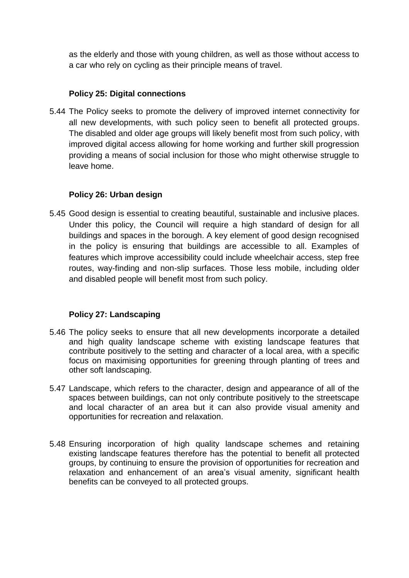as the elderly and those with young children, as well as those without access to a car who rely on cycling as their principle means of travel.

# **Policy 25: Digital connections**

5.44 The Policy seeks to promote the delivery of improved internet connectivity for all new developments, with such policy seen to benefit all protected groups. The disabled and older age groups will likely benefit most from such policy, with improved digital access allowing for home working and further skill progression providing a means of social inclusion for those who might otherwise struggle to leave home.

# **Policy 26: Urban design**

5.45 Good design is essential to creating beautiful, sustainable and inclusive places. Under this policy, the Council will require a high standard of design for all buildings and spaces in the borough. A key element of good design recognised in the policy is ensuring that buildings are accessible to all. Examples of features which improve accessibility could include wheelchair access, step free routes, way-finding and non-slip surfaces. Those less mobile, including older and disabled people will benefit most from such policy.

# **Policy 27: Landscaping**

- 5.46 The policy seeks to ensure that all new developments incorporate a detailed and high quality landscape scheme with existing landscape features that contribute positively to the setting and character of a local area, with a specific focus on maximising opportunities for greening through planting of trees and other soft landscaping.
- 5.47 Landscape, which refers to the character, design and appearance of all of the spaces between buildings, can not only contribute positively to the streetscape and local character of an area but it can also provide visual amenity and opportunities for recreation and relaxation.
- 5.48 Ensuring incorporation of high quality landscape schemes and retaining existing landscape features therefore has the potential to benefit all protected groups, by continuing to ensure the provision of opportunities for recreation and relaxation and enhancement of an area's visual amenity, significant health benefits can be conveyed to all protected groups.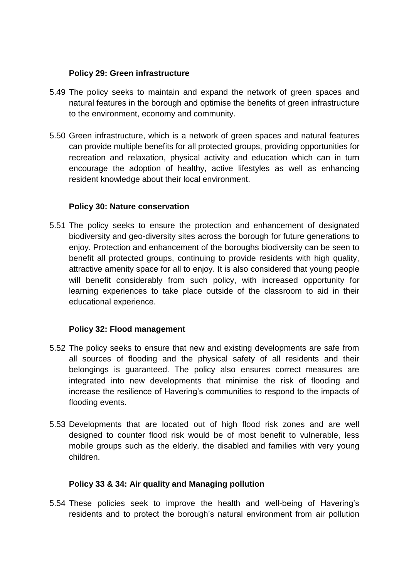### **Policy 29: Green infrastructure**

- 5.49 The policy seeks to maintain and expand the network of green spaces and natural features in the borough and optimise the benefits of green infrastructure to the environment, economy and community.
- 5.50 Green infrastructure, which is a network of green spaces and natural features can provide multiple benefits for all protected groups, providing opportunities for recreation and relaxation, physical activity and education which can in turn encourage the adoption of healthy, active lifestyles as well as enhancing resident knowledge about their local environment.

# **Policy 30: Nature conservation**

5.51 The policy seeks to ensure the protection and enhancement of designated biodiversity and geo-diversity sites across the borough for future generations to enjoy. Protection and enhancement of the boroughs biodiversity can be seen to benefit all protected groups, continuing to provide residents with high quality, attractive amenity space for all to enjoy. It is also considered that young people will benefit considerably from such policy, with increased opportunity for learning experiences to take place outside of the classroom to aid in their educational experience.

# **Policy 32: Flood management**

- 5.52 The policy seeks to ensure that new and existing developments are safe from all sources of flooding and the physical safety of all residents and their belongings is guaranteed. The policy also ensures correct measures are integrated into new developments that minimise the risk of flooding and increase the resilience of Havering's communities to respond to the impacts of flooding events.
- 5.53 Developments that are located out of high flood risk zones and are well designed to counter flood risk would be of most benefit to vulnerable, less mobile groups such as the elderly, the disabled and families with very young children.

# **Policy 33 & 34: Air quality and Managing pollution**

5.54 These policies seek to improve the health and well-being of Havering's residents and to protect the borough's natural environment from air pollution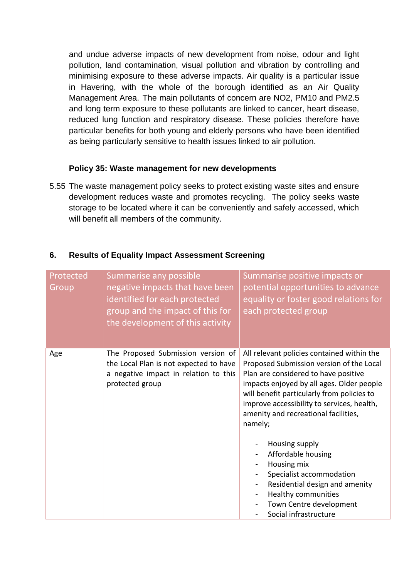and undue adverse impacts of new development from noise, odour and light pollution, land contamination, visual pollution and vibration by controlling and minimising exposure to these adverse impacts. Air quality is a particular issue in Havering, with the whole of the borough identified as an Air Quality Management Area. The main pollutants of concern are NO2, PM10 and PM2.5 and long term exposure to these pollutants are linked to cancer, heart disease, reduced lung function and respiratory disease. These policies therefore have particular benefits for both young and elderly persons who have been identified as being particularly sensitive to health issues linked to air pollution.

## **Policy 35: Waste management for new developments**

5.55 The waste management policy seeks to protect existing waste sites and ensure development reduces waste and promotes recycling. The policy seeks waste storage to be located where it can be conveniently and safely accessed, which will benefit all members of the community.

# **6. Results of Equality Impact Assessment Screening**

| Protected<br>Group | Summarise any possible<br>negative impacts that have been<br>identified for each protected<br>group and the impact of this for<br>the development of this activity | Summarise positive impacts or<br>potential opportunities to advance<br>equality or foster good relations for<br>each protected group                                                                                                                                                                                       |  |  |
|--------------------|--------------------------------------------------------------------------------------------------------------------------------------------------------------------|----------------------------------------------------------------------------------------------------------------------------------------------------------------------------------------------------------------------------------------------------------------------------------------------------------------------------|--|--|
| Age                | The Proposed Submission version of<br>the Local Plan is not expected to have<br>a negative impact in relation to this<br>protected group                           | All relevant policies contained within the<br>Proposed Submission version of the Local<br>Plan are considered to have positive<br>impacts enjoyed by all ages. Older people<br>will benefit particularly from policies to<br>improve accessibility to services, health,<br>amenity and recreational facilities,<br>namely; |  |  |
|                    |                                                                                                                                                                    | Housing supply<br>Affordable housing<br>Housing mix<br>$\blacksquare$<br>Specialist accommodation<br>Residential design and amenity<br>Healthy communities<br>Town Centre development<br>Social infrastructure                                                                                                             |  |  |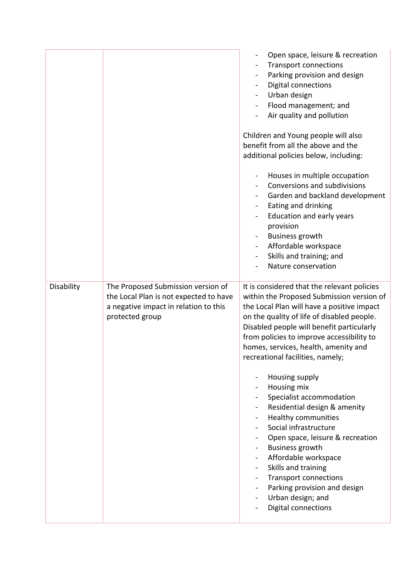|            |                                                                                                                                          | Open space, leisure & recreation<br><b>Transport connections</b><br>Parking provision and design<br><b>Digital connections</b><br>$\blacksquare$<br>Urban design<br>Flood management; and<br>$\blacksquare$<br>Air quality and pollution<br>Children and Young people will also<br>benefit from all the above and the<br>additional policies below, including:<br>Houses in multiple occupation<br>Conversions and subdivisions<br>Garden and backland development<br>Eating and drinking<br>$\blacksquare$<br>Education and early years<br>provision<br><b>Business growth</b><br>Affordable workspace<br>$\blacksquare$<br>Skills and training; and<br>Nature conservation                                                            |
|------------|------------------------------------------------------------------------------------------------------------------------------------------|-----------------------------------------------------------------------------------------------------------------------------------------------------------------------------------------------------------------------------------------------------------------------------------------------------------------------------------------------------------------------------------------------------------------------------------------------------------------------------------------------------------------------------------------------------------------------------------------------------------------------------------------------------------------------------------------------------------------------------------------|
| Disability | The Proposed Submission version of<br>the Local Plan is not expected to have<br>a negative impact in relation to this<br>protected group | It is considered that the relevant policies<br>within the Proposed Submission version of<br>the Local Plan will have a positive impact<br>on the quality of life of disabled people.<br>Disabled people will benefit particularly<br>from policies to improve accessibility to<br>homes, services, health, amenity and<br>recreational facilities, namely;<br>Housing supply<br>Housing mix<br>Specialist accommodation<br>Residential design & amenity<br><b>Healthy communities</b><br>Social infrastructure<br>Open space, leisure & recreation<br><b>Business growth</b><br>Affordable workspace<br>Skills and training<br><b>Transport connections</b><br>Parking provision and design<br>Urban design; and<br>Digital connections |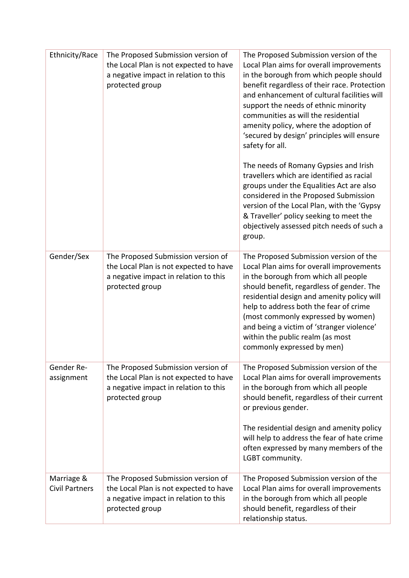| Ethnicity/Race                      | The Proposed Submission version of<br>the Local Plan is not expected to have<br>a negative impact in relation to this<br>protected group | The Proposed Submission version of the<br>Local Plan aims for overall improvements<br>in the borough from which people should<br>benefit regardless of their race. Protection<br>and enhancement of cultural facilities will<br>support the needs of ethnic minority<br>communities as will the residential<br>amenity policy, where the adoption of<br>'secured by design' principles will ensure<br>safety for all. |
|-------------------------------------|------------------------------------------------------------------------------------------------------------------------------------------|-----------------------------------------------------------------------------------------------------------------------------------------------------------------------------------------------------------------------------------------------------------------------------------------------------------------------------------------------------------------------------------------------------------------------|
|                                     |                                                                                                                                          | The needs of Romany Gypsies and Irish<br>travellers which are identified as racial<br>groups under the Equalities Act are also<br>considered in the Proposed Submission<br>version of the Local Plan, with the 'Gypsy<br>& Traveller' policy seeking to meet the<br>objectively assessed pitch needs of such a<br>group.                                                                                              |
| Gender/Sex                          | The Proposed Submission version of<br>the Local Plan is not expected to have<br>a negative impact in relation to this<br>protected group | The Proposed Submission version of the<br>Local Plan aims for overall improvements<br>in the borough from which all people<br>should benefit, regardless of gender. The<br>residential design and amenity policy will<br>help to address both the fear of crime<br>(most commonly expressed by women)<br>and being a victim of 'stranger violence'<br>within the public realm (as most<br>commonly expressed by men)  |
| Gender Re-<br>assignment            | The Proposed Submission version of<br>the Local Plan is not expected to have<br>a negative impact in relation to this<br>protected group | The Proposed Submission version of the<br>Local Plan aims for overall improvements<br>in the borough from which all people<br>should benefit, regardless of their current<br>or previous gender.<br>The residential design and amenity policy<br>will help to address the fear of hate crime<br>often expressed by many members of the<br>LGBT community.                                                             |
| Marriage &<br><b>Civil Partners</b> | The Proposed Submission version of<br>the Local Plan is not expected to have<br>a negative impact in relation to this                    | The Proposed Submission version of the<br>Local Plan aims for overall improvements<br>in the borough from which all people                                                                                                                                                                                                                                                                                            |
|                                     | protected group                                                                                                                          | should benefit, regardless of their<br>relationship status.                                                                                                                                                                                                                                                                                                                                                           |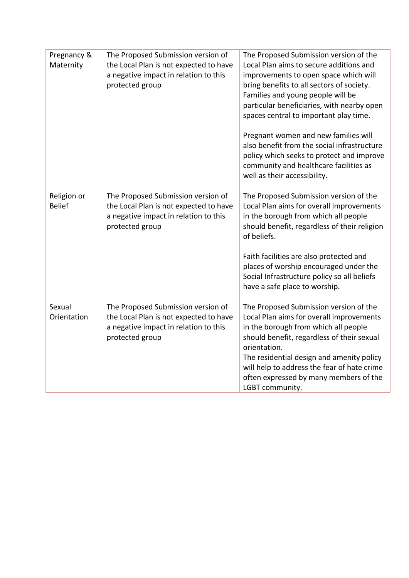| Pregnancy &<br>Maternity     | The Proposed Submission version of<br>the Local Plan is not expected to have<br>a negative impact in relation to this<br>protected group | The Proposed Submission version of the<br>Local Plan aims to secure additions and<br>improvements to open space which will<br>bring benefits to all sectors of society.<br>Families and young people will be<br>particular beneficiaries, with nearby open<br>spaces central to important play time.<br>Pregnant women and new families will<br>also benefit from the social infrastructure<br>policy which seeks to protect and improve<br>community and healthcare facilities as<br>well as their accessibility. |
|------------------------------|------------------------------------------------------------------------------------------------------------------------------------------|--------------------------------------------------------------------------------------------------------------------------------------------------------------------------------------------------------------------------------------------------------------------------------------------------------------------------------------------------------------------------------------------------------------------------------------------------------------------------------------------------------------------|
| Religion or<br><b>Belief</b> | The Proposed Submission version of<br>the Local Plan is not expected to have<br>a negative impact in relation to this<br>protected group | The Proposed Submission version of the<br>Local Plan aims for overall improvements<br>in the borough from which all people<br>should benefit, regardless of their religion<br>of beliefs.<br>Faith facilities are also protected and<br>places of worship encouraged under the<br>Social Infrastructure policy so all beliefs<br>have a safe place to worship.                                                                                                                                                     |
| Sexual<br>Orientation        | The Proposed Submission version of<br>the Local Plan is not expected to have<br>a negative impact in relation to this<br>protected group | The Proposed Submission version of the<br>Local Plan aims for overall improvements<br>in the borough from which all people<br>should benefit, regardless of their sexual<br>orientation.<br>The residential design and amenity policy<br>will help to address the fear of hate crime<br>often expressed by many members of the<br>LGBT community.                                                                                                                                                                  |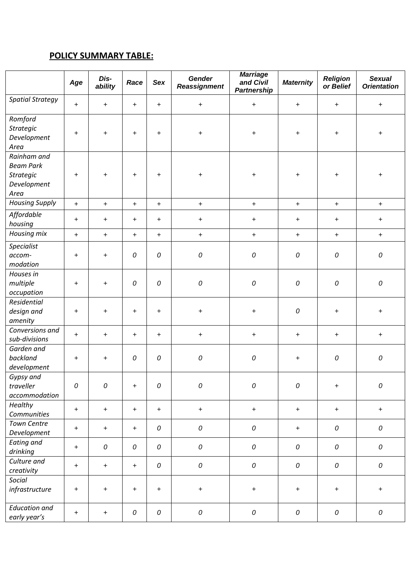# **POLICY SUMMARY TABLE:**

|                                                                            | Age       | Dis-<br>ability | Race       | Sex        | Gender<br>Reassignment | <b>Marriage</b><br>and Civil<br><b>Partnership</b> | <b>Maternity</b> | <b>Religion</b><br>or Belief | <b>Sexual</b><br><b>Orientation</b> |
|----------------------------------------------------------------------------|-----------|-----------------|------------|------------|------------------------|----------------------------------------------------|------------------|------------------------------|-------------------------------------|
| <b>Spatial Strategy</b>                                                    | $+$       | $\ddot{}$       | $\ddot{}$  | $\ddot{}$  | $\ddot{}$              | $\ddot{}$                                          | $\ddot{}$        | $\pm$                        | $\ddot{}$                           |
| Romford<br><b>Strategic</b><br>Development<br>Area                         | $\ddot{}$ | $\ddot{}$       | $\ddot{}$  | $+$        | $\pm$                  | $\pm$                                              | +                | +                            | +                                   |
| Rainham and<br><b>Beam Park</b><br><b>Strategic</b><br>Development<br>Area | $\ddot{}$ | +               | $\ddot{}$  | $\ddot{}$  | $\ddot{}$              | $\boldsymbol{+}$                                   | $\ddot{}$        | $\ddot{}$                    | +                                   |
| <b>Housing Supply</b>                                                      | $+$       | $+$             | $\ddot{}$  | $+$        | $+$                    | $\pm$                                              | $\pm$            | $+$                          | $\ddot{}$                           |
| Affordable<br>housing                                                      | $\ddot{}$ | $\ddot{}$       | $\ddot{}$  | $\pm$      | $\pm$                  | $\ddot{}$                                          | +                | $+$                          | +                                   |
| Housing mix                                                                | $+$       | $\ddot{}$       | $\ddot{}$  | $\ddot{}$  | $+$                    | $\pm$                                              | $\ddot{}$        | $+$                          | $\ddot{}$                           |
| Specialist<br>accom-<br>modation                                           | $\ddot{}$ | $\ddot{}$       | 0          | ${\cal O}$ | ${\cal O}$             | ${\cal O}$                                         | $\mathcal O$     | 0                            | ${\cal O}$                          |
| Houses in<br>multiple<br>occupation                                        | $\ddot{}$ | $\ddot{}$       | 0          | ${\cal O}$ | ${\cal O}$             | ${\cal O}$                                         | ${\cal O}$       | ${\cal O}$                   | ${\cal O}$                          |
| Residential<br>design and<br>amenity                                       | $\ddot{}$ | $\ddot{}$       | $\ddot{}$  | $\ddot{}$  | $\ddot{}$              | $\boldsymbol{+}$                                   | ${\cal O}$       | $\ddot{}$                    | +                                   |
| Conversions and<br>sub-divisions                                           | $\ddot{}$ | $\ddot{}$       | $\ddot{}$  | $+$        | $+$                    | $\pm$                                              | $\ddot{}$        | $+$                          | $\pm$                               |
| Garden and<br>backland<br>development                                      | $\ddot{}$ | $\ddot{}$       | 0          | 0          | 0                      | ${\cal O}$                                         | +                | ${\cal O}$                   | 0                                   |
| Gypsy and<br>traveller<br>accommodation                                    | 0         | 0               | $\ddot{}$  | ${\cal O}$ | ${\cal O}$             | ${\cal O}$                                         | ${\cal O}$       | $\pm$                        | ${\cal O}$                          |
| Healthy<br>Communities                                                     | $\ddot{}$ | $\ddot{}$       | $\ddot{}$  | $+$        | $+$                    | $\pm$                                              | $\pm$            | $+$                          | $\ddot{}$                           |
| <b>Town Centre</b><br>Development                                          | $\ddot{}$ | $\ddot{}$       | $\ddot{}$  | 0          | ${\cal O}$             | ${\cal O}$                                         | $\ddot{}$        | ${\cal O}$                   | ${\cal O}$                          |
| <b>Eating and</b><br>drinking                                              | $\ddot{}$ | 0               | 0          | ${\cal O}$ | ${\cal O}$             | ${\cal O}$                                         | 0                | ${\cal O}$                   | 0                                   |
| Culture and<br>creativity                                                  | $+$       | $\ddot{}$       | $\ddot{}$  | ${\cal O}$ | ${\cal O}$             | ${\cal O}$                                         | ${\cal O}$       | 0                            | ${\cal O}$                          |
| Social<br>infrastructure                                                   | $\ddot{}$ | $+$             | $\ddot{}$  | $+$        | $+$                    | $\pm$                                              | $\ddot{}$        | $\ddot{}$                    | $\ddot{}$                           |
| <b>Education and</b><br>early year's                                       | $\ddot{}$ | $\ddot{}$       | ${\cal O}$ | ${\cal O}$ | ${\cal O}$             | ${\cal O}$                                         | 0                | ${\cal O}$                   | 0                                   |